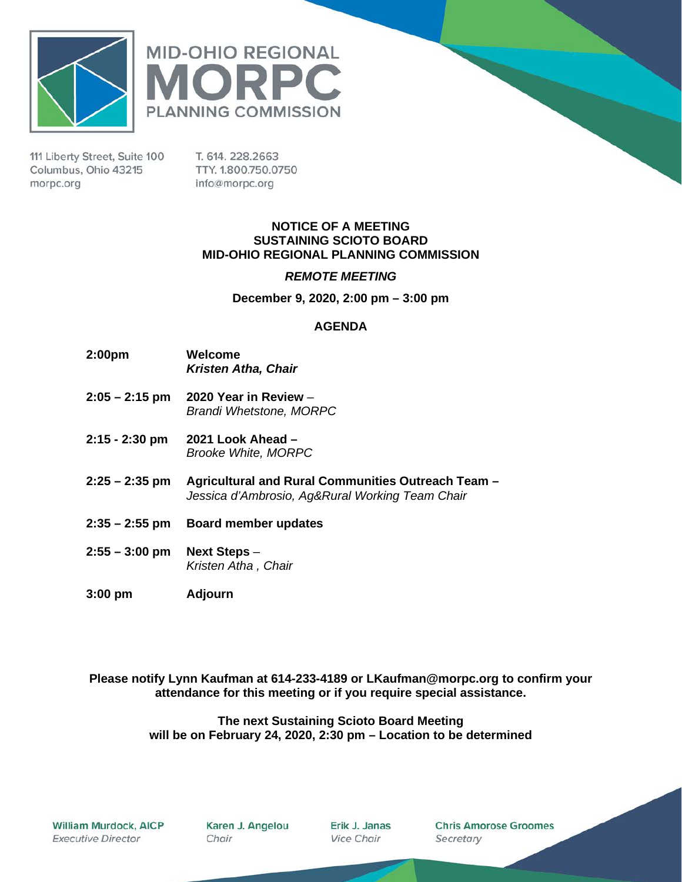



111 Liberty Street, Suite 100 Columbus, Ohio 43215 morpc.org

T. 614. 228.2663 TTY. 1.800.750.0750 info@morpc.org

#### **NOTICE OF A MEETING SUSTAINING SCIOTO BOARD MID-OHIO REGIONAL PLANNING COMMISSION**

#### *REMOTE MEETING*

**December 9, 2020, 2:00 pm – 3:00 pm**

#### **AGENDA**

- **2:00pm Welcome** *Kristen Atha, Chair*
- **2:05 – 2:15 pm 2020 Year in Review** *Brandi Whetstone, MORPC*
- **2:15 - 2:30 pm 2021 Look Ahead –** *Brooke White, MORPC*
- **2:25 – 2:35 pm Agricultural and Rural Communities Outreach Team –** *Jessica d'Ambrosio, Ag&Rural Working Team Chair*
- **2:35 – 2:55 pm Board member updates**
- **2:55 – 3:00 pm Next Steps** *– Kristen Atha , Chair*
- **3:00 pm Adjourn**

**Please notify Lynn Kaufman at 614-233-4189 or LKaufman@morpc.org to confirm your attendance for this meeting or if you require special assistance.**

#### **The next Sustaining Scioto Board Meeting will be on February 24, 2020, 2:30 pm – Location to be determined**

William Murdock, AICP **Executive Director** 

Karen J. Angelou Chair

Erik J. Janas **Vice Chair** 

**Chris Amorose Groomes** Secretary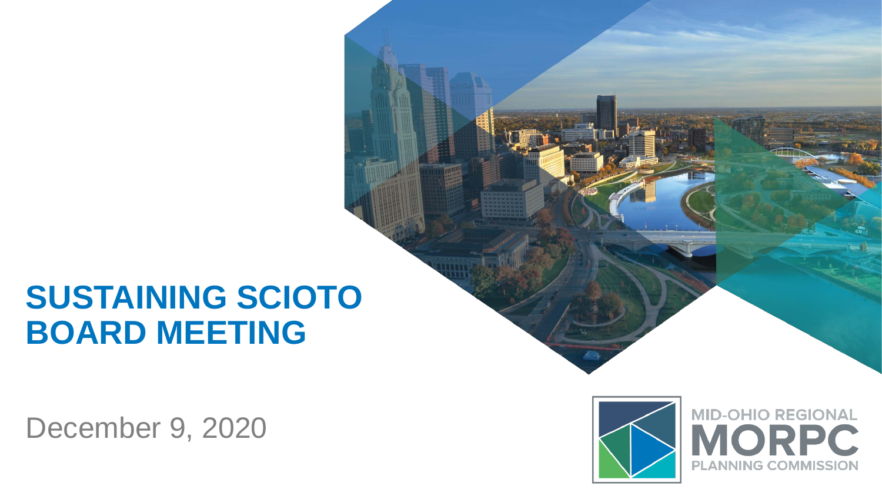## **SUSTAINING SCIOTO BOARD MEETING**

December 9, 2020



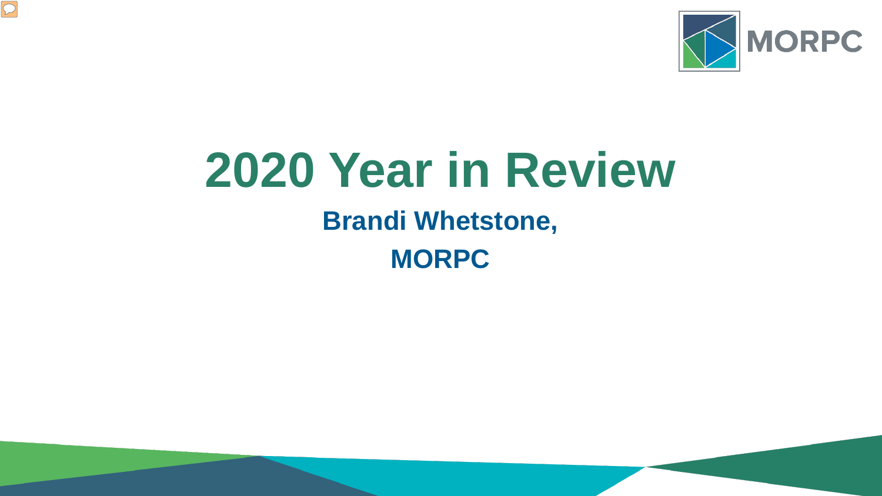

# **2020 Year in Review**

## **Brandi Whetstone,**

**MORPC**

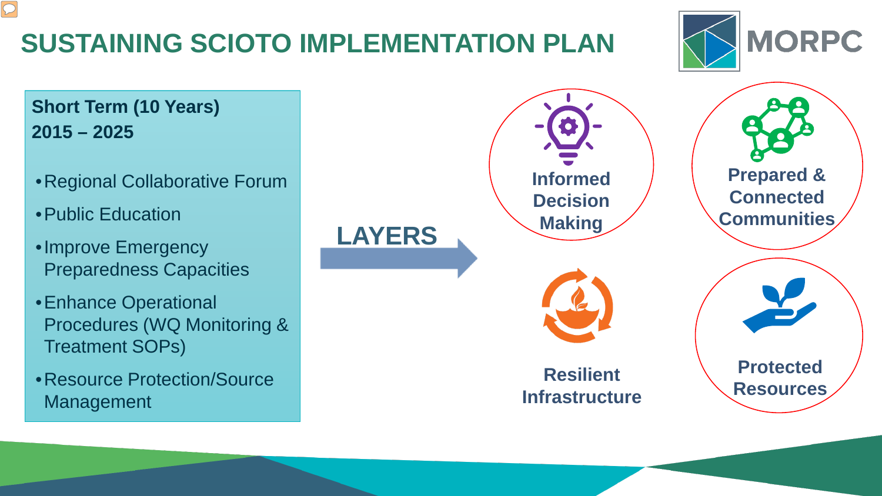

### **SUSTAINING SCIOTO IMPLEMENTATION PLAN**

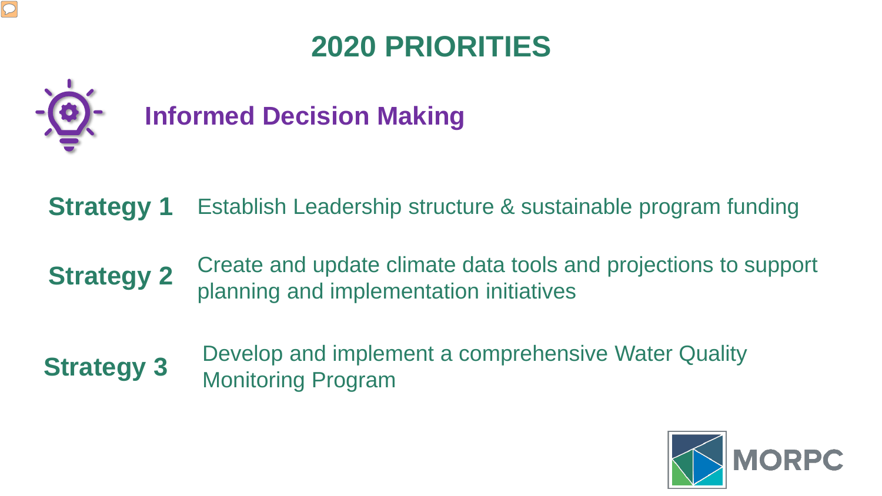### **2020 PRIORITIES**

**Informed Decision Making**

- **Strategy 1** Establish Leadership structure & sustainable program funding
- **Strategy 2**  Create and update climate data tools and projections to support planning and implementation initiatives
- Develop and implement a comprehensive Water Quality **Strategy 3** Monitoring Program

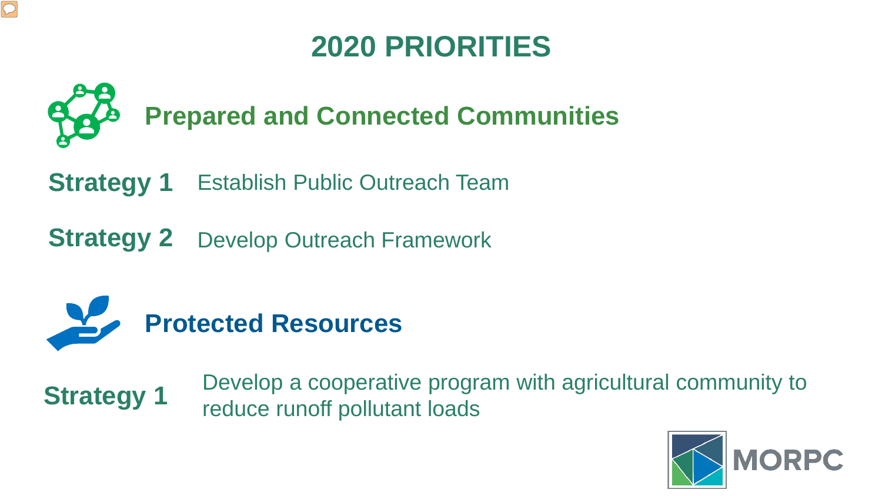### **2020 PRIORITIES**



**Strategy 1** Establish Public Outreach Team

**Strategy 2**  Develop Outreach Framework



 $\boxed{\bigcirc}$ 

Develop a cooperative program with agricultural community to **Strategy 1 Bevelop a cooperance progress** 

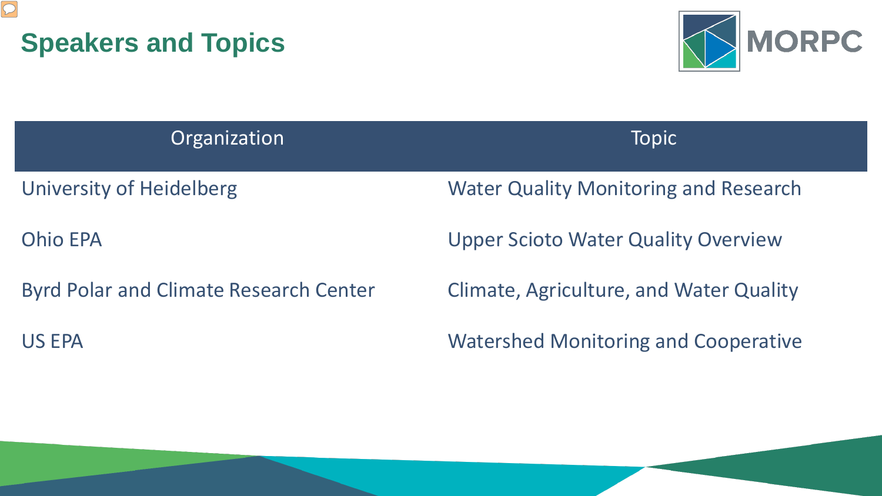



| Organization                                  | <b>Topic</b>                                   |
|-----------------------------------------------|------------------------------------------------|
| <b>University of Heidelberg</b>               | <b>Water Quality Monitoring and Research</b>   |
| <b>Ohio EPA</b>                               | <b>Upper Scioto Water Quality Overview</b>     |
| <b>Byrd Polar and Climate Research Center</b> | <b>Climate, Agriculture, and Water Quality</b> |
| <b>US EPA</b>                                 | <b>Watershed Monitoring and Cooperative</b>    |
|                                               |                                                |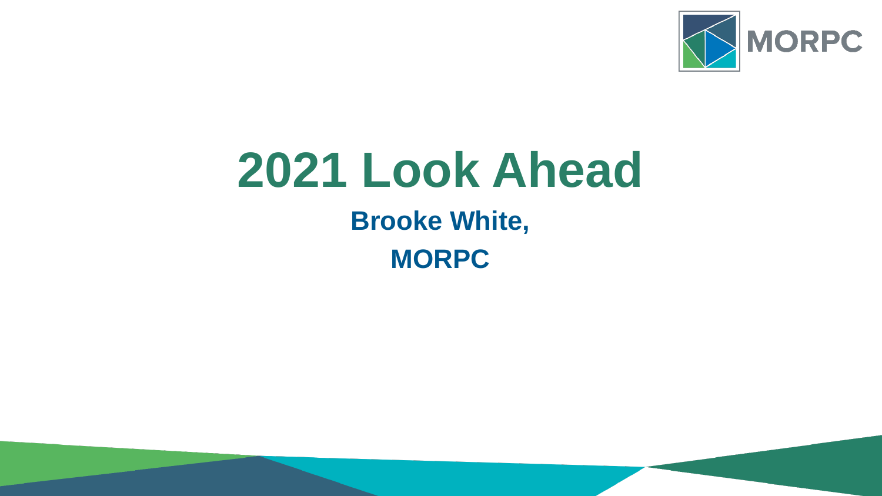

## **2021 Look Ahead**

### **Brooke White, MORPC**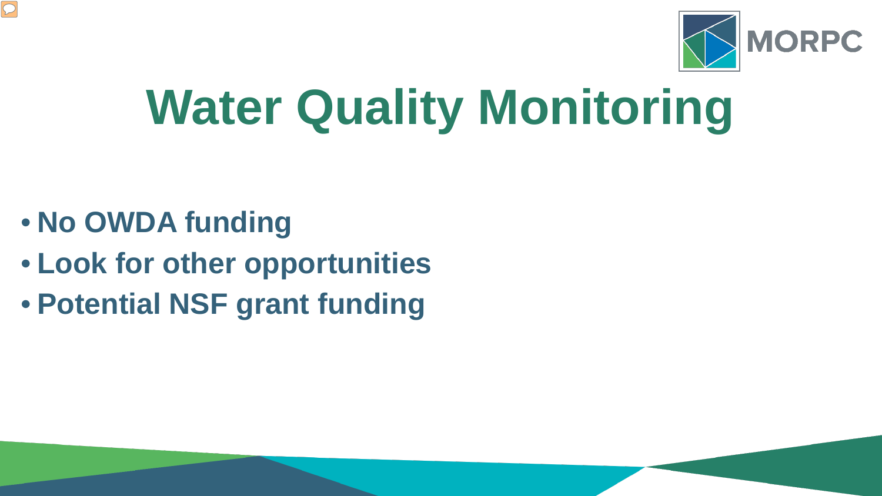

# **Water Quality Monitoring**

• **No OWDA funding**

- **Look for other opportunities**
- **Potential NSF grant funding**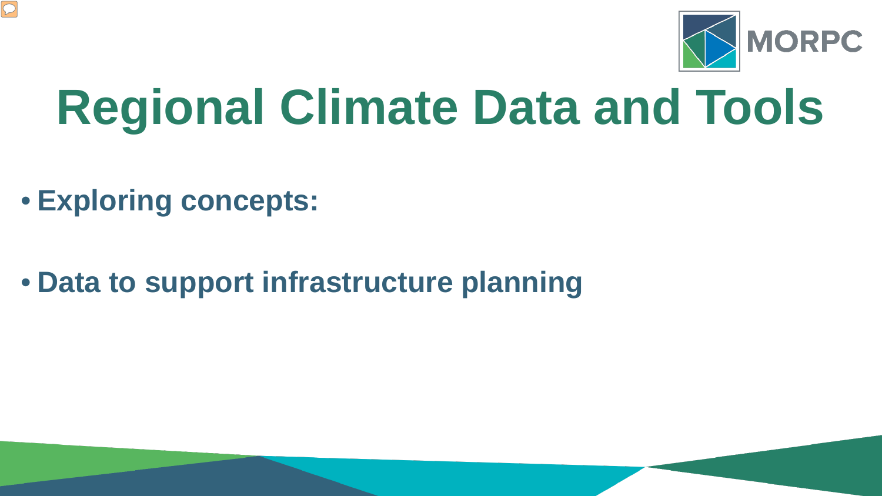

# **Regional Climate Data and Tools**

- **Exploring concepts:**
- **Data to support infrastructure planning**

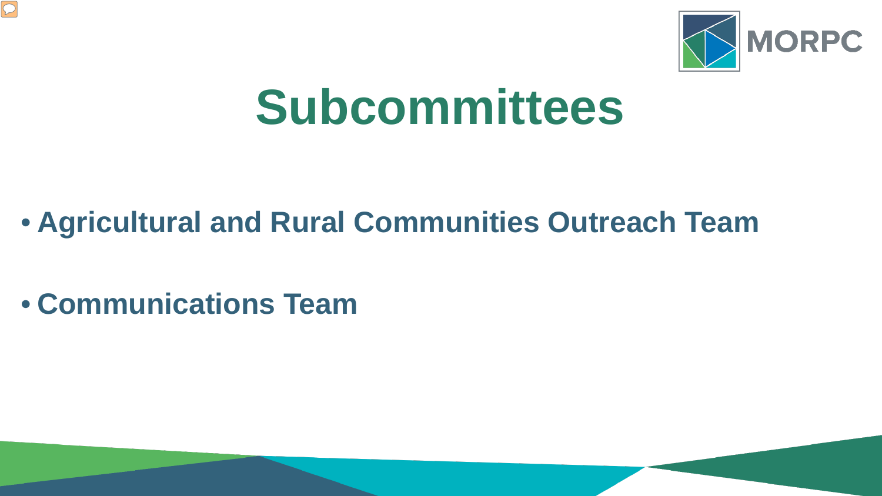

# **Subcommittees**

### • **Agricultural and Rural Communities Outreach Team**

• **Communications Team**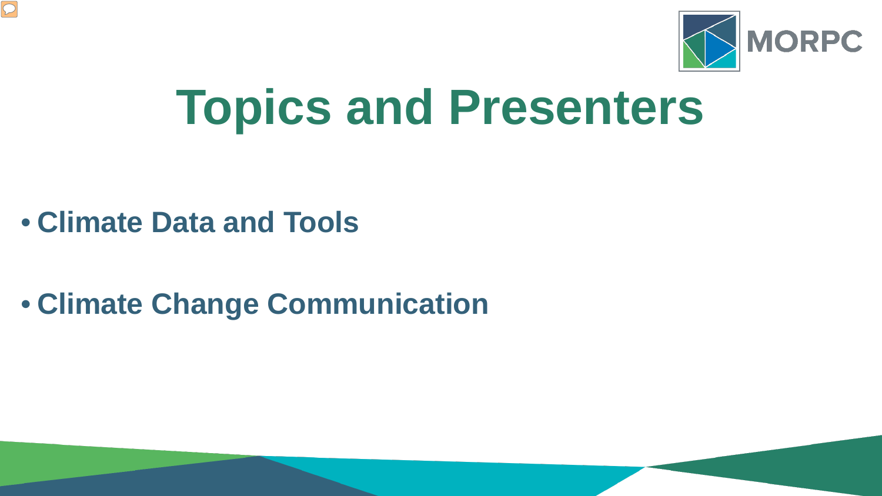

# **Topics and Presenters**

• **Climate Data and Tools**

 $\boxed{\bigcirc}$ 

• **Climate Change Communication**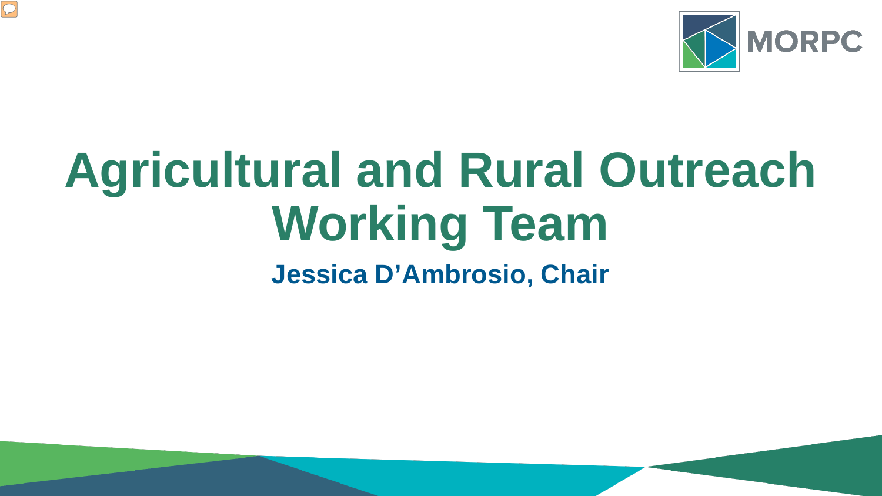

## **Agricultural and Rural Outreach Working Team Jessica D'Ambrosio, Chair**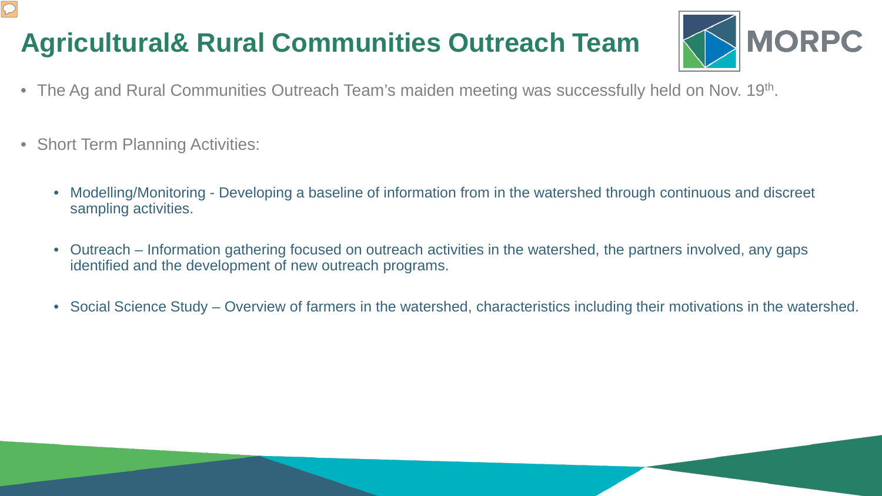### **Agricultural& Rural Communities Outreach Team**



- The Ag and Rural Communities Outreach Team's maiden meeting was successfully held on Nov. 19<sup>th</sup>.
- Short Term Planning Activities:
	- Modelling/Monitoring Developing a baseline of information from in the watershed through continuous and discreet sampling activities.
	- Outreach Information gathering focused on outreach activities in the watershed, the partners involved, any gaps identified and the development of new outreach programs.
	- Social Science Study Overview of farmers in the watershed, characteristics including their motivations in the watershed.